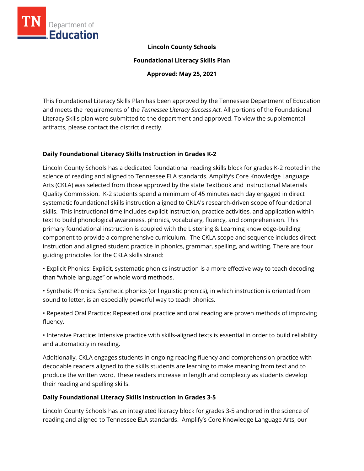

## **Lincoln County Schools**

**Foundational Literacy Skills Plan**

**Approved: May 25, 2021**

This Foundational Literacy Skills Plan has been approved by the Tennessee Department of Education and meets the requirements of the *Tennessee Literacy Success Act.* All portions of the Foundational Literacy Skills plan were submitted to the department and approved. To view the supplemental artifacts, please contact the district directly.

## **Daily Foundational Literacy Skills Instruction in Grades K-2**

Lincoln County Schools has a dedicated foundational reading skills block for grades K-2 rooted in the science of reading and aligned to Tennessee ELA standards. Amplify's Core Knowledge Language Arts (CKLA) was selected from those approved by the state Textbook and Instructional Materials Quality Commission. K-2 students spend a minimum of 45 minutes each day engaged in direct systematic foundational skills instruction aligned to CKLA's research-driven scope of foundational skills. This instructional time includes explicit instruction, practice activities, and application within text to build phonological awareness, phonics, vocabulary, fluency, and comprehension. This primary foundational instruction is coupled with the Listening & Learning knowledge-building component to provide a comprehensive curriculum. The CKLA scope and sequence includes direct instruction and aligned student practice in phonics, grammar, spelling, and writing. There are four guiding principles for the CKLA skills strand:

• Explicit Phonics: Explicit, systematic phonics instruction is a more effective way to teach decoding than "whole language" or whole word methods.

• Synthetic Phonics: Synthetic phonics (or linguistic phonics), in which instruction is oriented from sound to letter, is an especially powerful way to teach phonics.

• Repeated Oral Practice: Repeated oral practice and oral reading are proven methods of improving fluency.

• Intensive Practice: Intensive practice with skills-aligned texts is essential in order to build reliability and automaticity in reading.

Additionally, CKLA engages students in ongoing reading fluency and comprehension practice with decodable readers aligned to the skills students are learning to make meaning from text and to produce the written word. These readers increase in length and complexity as students develop their reading and spelling skills.

# **Daily Foundational Literacy Skills Instruction in Grades 3-5**

Lincoln County Schools has an integrated literacy block for grades 3-5 anchored in the science of reading and aligned to Tennessee ELA standards. Amplify's Core Knowledge Language Arts, our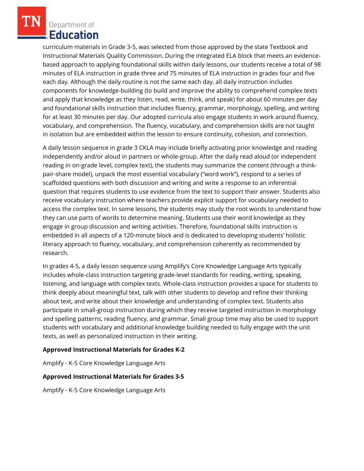curriculum materials in Grade 3-5, was selected from those approved by the state Textbook and Instructional Materials Quality Commission. During the integrated ELA block that meets an evidencebased approach to applying foundational skills within daily lessons, our students receive a total of 98 minutes of ELA instruction in grade three and 75 minutes of ELA instruction in grades four and five each day. Although the daily routine is not the same each day, all daily instruction includes components for knowledge-building (to build and improve the ability to comprehend complex texts and apply that knowledge as they listen, read, write, think, and speak) for about 60 minutes per day and foundational skills instruction that includes fluency, grammar, morphology, spelling, and writing for at least 30 minutes per day. Our adopted curricula also engage students in work around fluency, vocabulary, and comprehension. The fluency, vocabulary, and comprehension skills are not taught in isolation but are embedded within the lesson to ensure continuity, cohesion, and connection.

A daily lesson sequence in grade 3 CKLA may include briefly activating prior knowledge and reading independently and/or aloud in partners or whole-group. After the daily read aloud (or independent reading in on-grade level, complex text), the students may summarize the content (through a thinkpair-share model), unpack the most essential vocabulary ("word work"), respond to a series of scaffolded questions with both discussion and writing and write a response to an inferential question that requires students to use evidence from the text to support their answer. Students also receive vocabulary instruction where teachers provide explicit support for vocabulary needed to access the complex text. In some lessons, the students may study the root words to understand how they can use parts of words to determine meaning. Students use their word knowledge as they engage in group discussion and writing activities. Therefore, foundational skills instruction is embedded in all aspects of a 120-minute block and is dedicated to developing students' holistic literacy approach to fluency, vocabulary, and comprehension coherently as recommended by research.

In grades 4-5, a daily lesson sequence using Amplify's Core Knowledge Language Arts typically includes whole-class instruction targeting grade-level standards for reading, writing, speaking, listening, and language with complex texts. Whole-class instruction provides a space for students to think deeply about meaningful text, talk with other students to develop and refine their thinking about text, and write about their knowledge and understanding of complex text. Students also participate in small-group instruction during which they receive targeted instruction in morphology and spelling patterns, reading fluency, and grammar. Small group time may also be used to support students with vocabulary and additional knowledge building needed to fully engage with the unit texts, as well as personalized instruction in their writing.

# **Approved Instructional Materials for Grades K-2**

Amplify - K-5 Core Knowledge Language Arts

## **Approved Instructional Materials for Grades 3-5**

Amplify - K-5 Core Knowledge Language Arts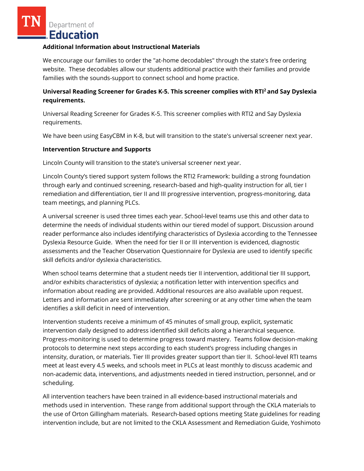#### **Additional Information about Instructional Materials**

We encourage our families to order the "at-home decodables" through the state's free ordering website. These decodables allow our students additional practice with their families and provide families with the sounds-support to connect school and home practice.

# **Universal Reading Screener for Grades K-5. This screener complies with RTI<sup>2</sup>and Say Dyslexia requirements.**

Universal Reading Screener for Grades K-5. This screener complies with RTI2 and Say Dyslexia requirements.

We have been using EasyCBM in K-8, but will transition to the state's universal screener next year.

#### **Intervention Structure and Supports**

Lincoln County will transition to the state's universal screener next year.

Lincoln County's tiered support system follows the RTI2 Framework: building a strong foundation through early and continued screening, research-based and high-quality instruction for all, tier I remediation and differentiation, tier II and III progressive intervention, progress-monitoring, data team meetings, and planning PLCs.

A universal screener is used three times each year. School-level teams use this and other data to determine the needs of individual students within our tiered model of support. Discussion around reader performance also includes identifying characteristics of Dyslexia according to the Tennessee Dyslexia Resource Guide. When the need for tier II or III intervention is evidenced, diagnostic assessments and the Teacher Observation Questionnaire for Dyslexia are used to identify specific skill deficits and/or dyslexia characteristics.

When school teams determine that a student needs tier II intervention, additional tier III support, and/or exhibits characteristics of dyslexia; a notification letter with intervention specifics and information about reading are provided. Additional resources are also available upon request. Letters and information are sent immediately after screening or at any other time when the team identifies a skill deficit in need of intervention.

Intervention students receive a minimum of 45 minutes of small group, explicit, systematic intervention daily designed to address identified skill deficits along a hierarchical sequence. Progress-monitoring is used to determine progress toward mastery. Teams follow decision-making protocols to determine next steps according to each student's progress including changes in intensity, duration, or materials. Tier III provides greater support than tier II. School-level RTI teams meet at least every 4.5 weeks, and schools meet in PLCs at least monthly to discuss academic and non-academic data, interventions, and adjustments needed in tiered instruction, personnel, and or scheduling.

All intervention teachers have been trained in all evidence-based instructional materials and methods used in intervention. These range from additional support through the CKLA materials to the use of Orton Gillingham materials. Research-based options meeting State guidelines for reading intervention include, but are not limited to the CKLA Assessment and Remediation Guide, Yoshimoto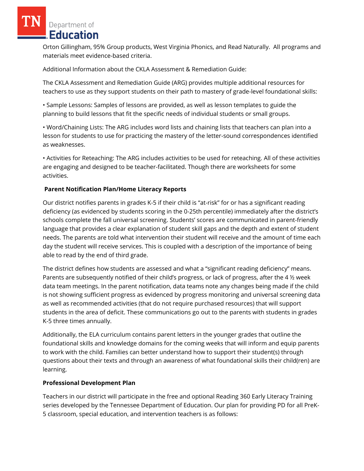Orton Gillingham, 95% Group products, West Virginia Phonics, and Read Naturally. All programs and materials meet evidence-based criteria.

Additional Information about the CKLA Assessment & Remediation Guide:

The CKLA Assessment and Remediation Guide (ARG) provides multiple additional resources for teachers to use as they support students on their path to mastery of grade-level foundational skills:

• Sample Lessons: Samples of lessons are provided, as well as lesson templates to guide the planning to build lessons that fit the specific needs of individual students or small groups.

• Word/Chaining Lists: The ARG includes word lists and chaining lists that teachers can plan into a lesson for students to use for practicing the mastery of the letter-sound correspondences identified as weaknesses.

• Activities for Reteaching: The ARG includes activities to be used for reteaching. All of these activities are engaging and designed to be teacher-facilitated. Though there are worksheets for some activities.

## **Parent Notification Plan/Home Literacy Reports**

Our district notifies parents in grades K-5 if their child is "at-risk" for or has a significant reading deficiency (as evidenced by students scoring in the 0-25th percentile) immediately after the district's schools complete the fall universal screening. Students' scores are communicated in parent-friendly language that provides a clear explanation of student skill gaps and the depth and extent of student needs. The parents are told what intervention their student will receive and the amount of time each day the student will receive services. This is coupled with a description of the importance of being able to read by the end of third grade.

The district defines how students are assessed and what a "significant reading deficiency" means. Parents are subsequently notified of their child's progress, or lack of progress, after the 4 ½ week data team meetings. In the parent notification, data teams note any changes being made if the child is not showing sufficient progress as evidenced by progress monitoring and universal screening data as well as recommended activities (that do not require purchased resources) that will support students in the area of deficit. These communications go out to the parents with students in grades K-5 three times annually.

Additionally, the ELA curriculum contains parent letters in the younger grades that outline the foundational skills and knowledge domains for the coming weeks that will inform and equip parents to work with the child. Families can better understand how to support their student(s) through questions about their texts and through an awareness of what foundational skills their child(ren) are learning.

## **Professional Development Plan**

Teachers in our district will participate in the free and optional Reading 360 Early Literacy Training series developed by the Tennessee Department of Education. Our plan for providing PD for all PreK-5 classroom, special education, and intervention teachers is as follows: